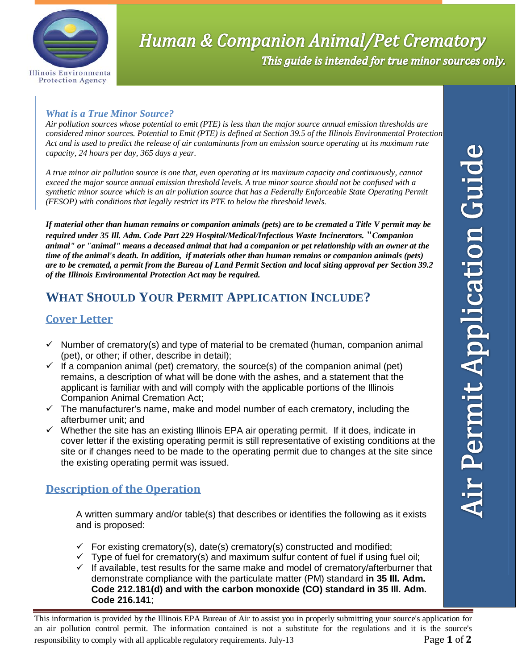

# **Human & Companion Animal/Pet Crematory** This guide is intended for true minor sources only.

#### *What is a True Minor Source?*

*Air pollution sources whose potential to emit (PTE) is less than the major source annual emission thresholds are considered minor sources. Potential to Emit (PTE) is defined at Section 39.5 of the Illinois Environmental Protection Act and is used to predict the release of air contaminants from an emission source operating at its maximum rate capacity, 24 hours per day, 365 days a year.* 

*A true minor air pollution source is one that, even operating at its maximum capacity and continuously, cannot exceed the major source annual emission threshold levels. A true minor source should not be confused with a synthetic minor source which is an air pollution source that has a Federally Enforceable State Operating Permit (FESOP) with conditions that legally restrict its PTE to below the threshold levels.* 

*If material other than human remains or companion animals (pets) are to be cremated a Title V permit may be required under 35 Ill. Adm. Code Part 229 Hospital/Medical/Infectious Waste Incinerators.* **"***Companion animal" or "animal" means a deceased animal that had a companion or pet relationship with an owner at the time of the animal's death. In addition, if materials other than human remains or companion animals (pets) are to be cremated, a permit from the Bureau of Land Permit Section and local siting approval per Section 39.2 of the Illinois Environmental Protection Act may be required.*

## **WHAT SHOULD YOUR PERMIT APPLICATION INCLUDE?**

## **Cover Letter**

- $\checkmark$  Number of crematory(s) and type of material to be cremated (human, companion animal (pet), or other; if other, describe in detail);
- $\checkmark$  If a companion animal (pet) crematory, the source(s) of the companion animal (pet) remains, a description of what will be done with the ashes, and a statement that the applicant is familiar with and will comply with the applicable portions of the Illinois Companion Animal Cremation Act;
- $\checkmark$  The manufacturer's name, make and model number of each crematory, including the afterburner unit; and
- $\checkmark$  Whether the site has an existing Illinois EPA air operating permit. If it does, indicate in cover letter if the existing operating permit is still representative of existing conditions at the site or if changes need to be made to the operating permit due to changes at the site since the existing operating permit was issued.

## **Description of the Operation**

A written summary and/or table(s) that describes or identifies the following as it exists and is proposed:

- $\checkmark$  For existing crematory(s), date(s) crematory(s) constructed and modified;
- $\checkmark$  Type of fuel for crematory(s) and maximum sulfur content of fuel if using fuel oil;
- $\checkmark$  If available, test results for the same make and model of crematory/afterburner that demonstrate compliance with the particulate matter (PM) standard **in 35 Ill. Adm. Code 212.181(d) and with the carbon monoxide (CO) standard in 35 Ill. Adm. Code 216.141**;

This information is provided by the Illinois EPA Bureau of Air to assist you in properly submitting your source's application for an air pollution control permit. The information contained is not a substitute for the regulations and it is the source's responsibility to comply with all applicable regulatory requirements. July-13 Page **1** of **2**